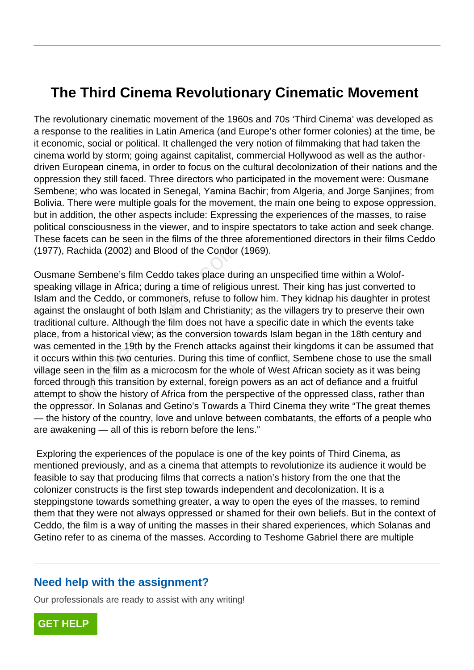# **The Third Cinema Revolutionary Cinematic Movement**

The revolutionary cinematic movement of the 1960s and 70s 'Third Cinema' was developed as a response to the realities in Latin America (and Europe's other former colonies) at the time, be it economic, social or political. It challenged the very notion of filmmaking that had taken the cinema world by storm; going against capitalist, commercial Hollywood as well as the authordriven European cinema, in order to focus on the cultural decolonization of their nations and the oppression they still faced. Three directors who participated in the movement were: Ousmane Sembene; who was located in Senegal, Yamina Bachir; from Algeria, and Jorge Sanjines; from Bolivia. There were multiple goals for the movement, the main one being to expose oppression, but in addition, the other aspects include: Expressing the experiences of the masses, to raise political consciousness in the viewer, and to inspire spectators to take action and seek change. These facets can be seen in the films of the three aforementioned directors in their films Ceddo (1977), Rachida (2002) and Blood of the Condor (1969).

Ousmane Sembene's film Ceddo takes place during an unspecified time within a Wolofspeaking village in Africa; during a time of religious unrest. Their king has just converted to Islam and the Ceddo, or commoners, refuse to follow him. They kidnap his daughter in protest against the onslaught of both Islam and Christianity; as the villagers try to preserve their own traditional culture. Although the film does not have a specific date in which the events take place, from a historical view; as the conversion towards Islam began in the 18th century and was cemented in the 19th by the French attacks against their kingdoms it can be assumed that it occurs within this two centuries. During this time of conflict, Sembene chose to use the small village seen in the film as a microcosm for the whole of West African society as it was being forced through this transition by external, foreign powers as an act of defiance and a fruitful attempt to show the history of Africa from the perspective of the oppressed class, rather than the oppressor. In Solanas and Getino's Towards a Third Cinema they write "The great themes — the history of the country, love and unlove between combatants, the efforts of a people who are awakening — all of this is reborn before the lens." ichida (2002) and Blood of the Condor<br>Sembene's film Ceddo takes place durillage in Africa; during a time of religiou<br>the Ceddo, or commoners, refuse to for<br>a onslaught of both Islam and Christian<br>culture. Although the fil

 Exploring the experiences of the populace is one of the key points of Third Cinema, as mentioned previously, and as a cinema that attempts to revolutionize its audience it would be feasible to say that producing films that corrects a nation's history from the one that the colonizer constructs is the first step towards independent and decolonization. It is a steppingstone towards something greater, a way to open the eyes of the masses, to remind them that they were not always oppressed or shamed for their own beliefs. But in the context of Ceddo, the film is a way of uniting the masses in their shared experiences, which Solanas and Getino refer to as cinema of the masses. According to Teshome Gabriel there are multiple

### **Need help with the assignment?**

Our professionals are ready to assist with any writing!

**[GET HELP](https://my.gradesfixer.com/order?utm_campaign=pdf_sample)**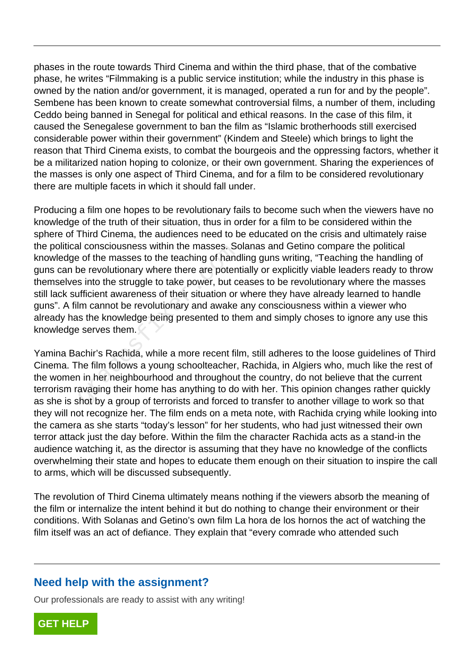phases in the route towards Third Cinema and within the third phase, that of the combative phase, he writes "Filmmaking is a public service institution; while the industry in this phase is owned by the nation and/or government, it is managed, operated a run for and by the people". Sembene has been known to create somewhat controversial films, a number of them, including Ceddo being banned in Senegal for political and ethical reasons. In the case of this film, it caused the Senegalese government to ban the film as "Islamic brotherhoods still exercised considerable power within their government" (Kindem and Steele) which brings to light the reason that Third Cinema exists, to combat the bourgeois and the oppressing factors, whether it be a militarized nation hoping to colonize, or their own government. Sharing the experiences of the masses is only one aspect of Third Cinema, and for a film to be considered revolutionary there are multiple facets in which it should fall under.

Producing a film one hopes to be revolutionary fails to become such when the viewers have no knowledge of the truth of their situation, thus in order for a film to be considered within the sphere of Third Cinema, the audiences need to be educated on the crisis and ultimately raise the political consciousness within the masses. Solanas and Getino compare the political knowledge of the masses to the teaching of handling guns writing, "Teaching the handling of guns can be revolutionary where there are potentially or explicitly viable leaders ready to throw themselves into the struggle to take power, but ceases to be revolutionary where the masses still lack sufficient awareness of their situation or where they have already learned to handle guns". A film cannot be revolutionary and awake any consciousness within a viewer who already has the knowledge being presented to them and simply choses to ignore any use this knowledge serves them. express within the masses. Some the consciousness within the masses. Some the section of the express into the struggle to take power, but confidered in the struggle to take power, but confidered in cannot be revolutionary

Yamina Bachir's Rachida, while a more recent film, still adheres to the loose guidelines of Third Cinema. The film follows a young schoolteacher, Rachida, in Algiers who, much like the rest of the women in her neighbourhood and throughout the country, do not believe that the current terrorism ravaging their home has anything to do with her. This opinion changes rather quickly as she is shot by a group of terrorists and forced to transfer to another village to work so that they will not recognize her. The film ends on a meta note, with Rachida crying while looking into the camera as she starts "today's lesson" for her students, who had just witnessed their own terror attack just the day before. Within the film the character Rachida acts as a stand-in the audience watching it, as the director is assuming that they have no knowledge of the conflicts overwhelming their state and hopes to educate them enough on their situation to inspire the call to arms, which will be discussed subsequently.

The revolution of Third Cinema ultimately means nothing if the viewers absorb the meaning of the film or internalize the intent behind it but do nothing to change their environment or their conditions. With Solanas and Getino's own film La hora de los hornos the act of watching the film itself was an act of defiance. They explain that "every comrade who attended such

## **Need help with the assignment?**

Our professionals are ready to assist with any writing!

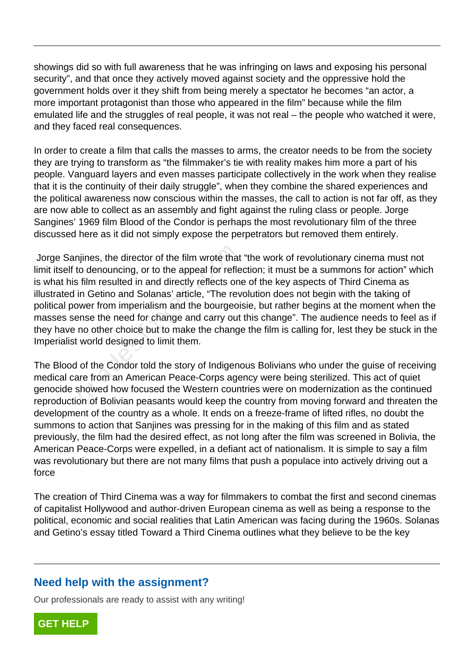showings did so with full awareness that he was infringing on laws and exposing his personal security", and that once they actively moved against society and the oppressive hold the government holds over it they shift from being merely a spectator he becomes "an actor, a more important protagonist than those who appeared in the film" because while the film emulated life and the struggles of real people, it was not real – the people who watched it were, and they faced real consequences.

In order to create a film that calls the masses to arms, the creator needs to be from the society they are trying to transform as "the filmmaker's tie with reality makes him more a part of his people. Vanguard layers and even masses participate collectively in the work when they realise that it is the continuity of their daily struggle", when they combine the shared experiences and the political awareness now conscious within the masses, the call to action is not far off, as they are now able to collect as an assembly and fight against the ruling class or people. Jorge Sangines' 1969 film Blood of the Condor is perhaps the most revolutionary film of the three discussed here as it did not simply expose the perpetrators but removed them entirely.

 Jorge Sanjines, the director of the film wrote that "the work of revolutionary cinema must not limit itself to denouncing, or to the appeal for reflection; it must be a summons for action" which is what his film resulted in and directly reflects one of the key aspects of Third Cinema as illustrated in Getino and Solanas' article, "The revolution does not begin with the taking of political power from imperialism and the bourgeoisie, but rather begins at the moment when the masses sense the need for change and carry out this change". The audience needs to feel as if they have no other choice but to make the change the film is calling for, lest they be stuck in the Imperialist world designed to limit them. hijnes, the director of the film wrote that<br>to denouncing, or to the appeal for reflection<br>film resulted in and directly reflects on<br>in Getino and Solanas' article, "The rev<br>wer from imperialism and the bourgeoi<br>ense the n

The Blood of the Condor told the story of Indigenous Bolivians who under the guise of receiving medical care from an American Peace-Corps agency were being sterilized. This act of quiet genocide showed how focused the Western countries were on modernization as the continued reproduction of Bolivian peasants would keep the country from moving forward and threaten the development of the country as a whole. It ends on a freeze-frame of lifted rifles, no doubt the summons to action that Sanjines was pressing for in the making of this film and as stated previously, the film had the desired effect, as not long after the film was screened in Bolivia, the American Peace-Corps were expelled, in a defiant act of nationalism. It is simple to say a film was revolutionary but there are not many films that push a populace into actively driving out a force

The creation of Third Cinema was a way for filmmakers to combat the first and second cinemas of capitalist Hollywood and author-driven European cinema as well as being a response to the political, economic and social realities that Latin American was facing during the 1960s. Solanas and Getino's essay titled Toward a Third Cinema outlines what they believe to be the key

## **Need help with the assignment?**

Our professionals are ready to assist with any writing!